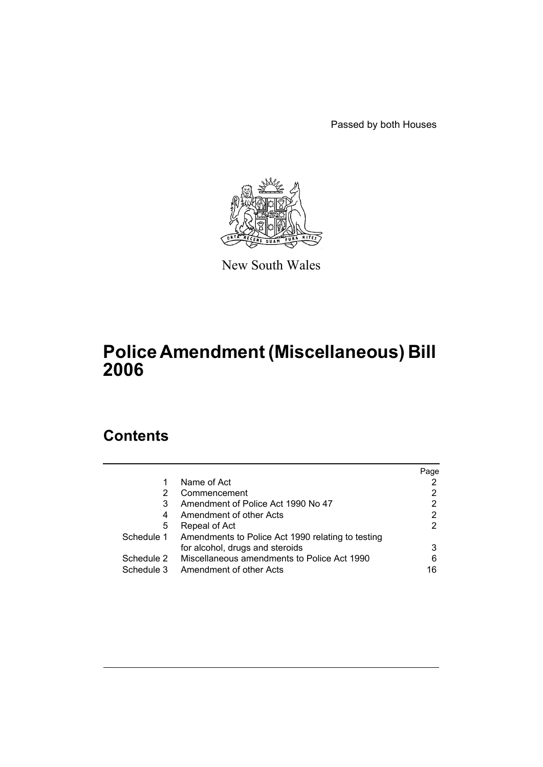Passed by both Houses



New South Wales

# **Police Amendment (Miscellaneous) Bill 2006**

# **Contents**

|            |                                                   | Page |
|------------|---------------------------------------------------|------|
|            | Name of Act                                       |      |
| 2          | Commencement                                      | 2    |
| 3          | Amendment of Police Act 1990 No 47                |      |
| 4          | Amendment of other Acts                           | 2    |
| 5          | Repeal of Act                                     | 2    |
| Schedule 1 | Amendments to Police Act 1990 relating to testing |      |
|            | for alcohol, drugs and steroids                   | 3    |
| Schedule 2 | Miscellaneous amendments to Police Act 1990       | 6    |
| Schedule 3 | Amendment of other Acts                           | 16   |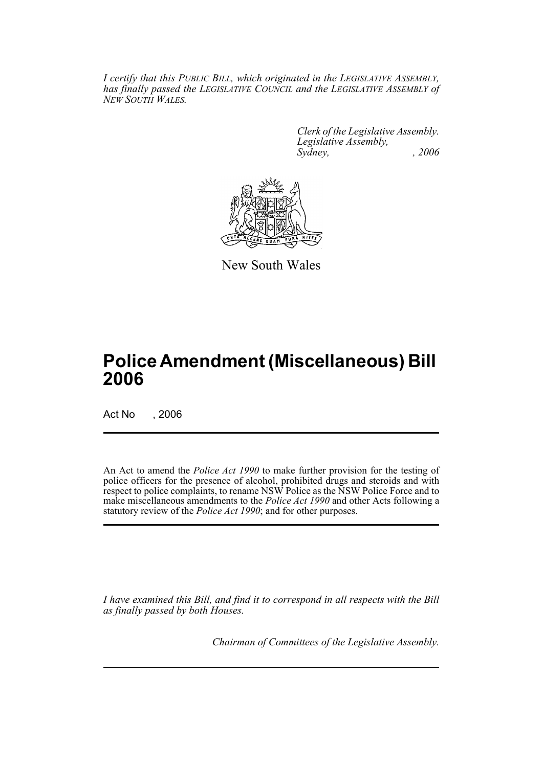*I certify that this PUBLIC BILL, which originated in the LEGISLATIVE ASSEMBLY, has finally passed the LEGISLATIVE COUNCIL and the LEGISLATIVE ASSEMBLY of NEW SOUTH WALES.*

> *Clerk of the Legislative Assembly. Legislative Assembly, Sydney, , 2006*



New South Wales

# **Police Amendment (Miscellaneous) Bill 2006**

Act No . 2006

An Act to amend the *Police Act 1990* to make further provision for the testing of police officers for the presence of alcohol, prohibited drugs and steroids and with respect to police complaints, to rename NSW Police as the NSW Police Force and to make miscellaneous amendments to the *Police Act 1990* and other Acts following a statutory review of the *Police Act 1990*; and for other purposes.

*I have examined this Bill, and find it to correspond in all respects with the Bill as finally passed by both Houses.*

*Chairman of Committees of the Legislative Assembly.*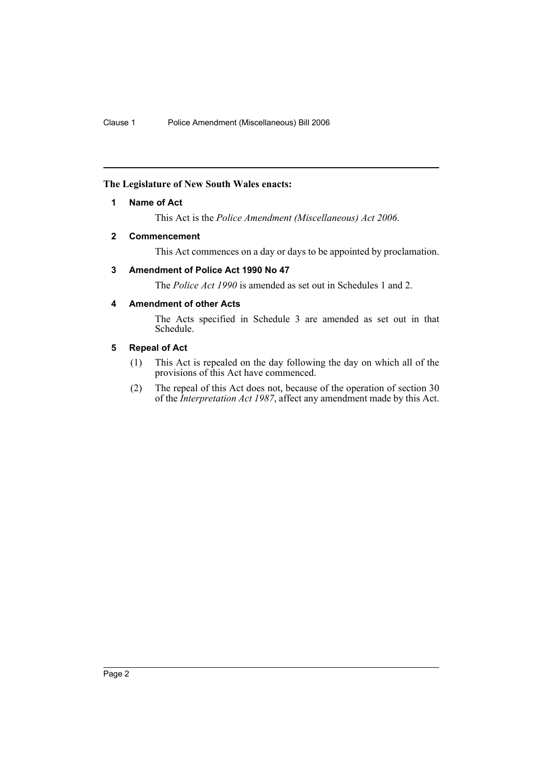# <span id="page-2-0"></span>**The Legislature of New South Wales enacts:**

### **1 Name of Act**

This Act is the *Police Amendment (Miscellaneous) Act 2006*.

#### <span id="page-2-1"></span>**2 Commencement**

This Act commences on a day or days to be appointed by proclamation.

# <span id="page-2-2"></span>**3 Amendment of Police Act 1990 No 47**

The *Police Act 1990* is amended as set out in Schedules 1 and 2.

# <span id="page-2-3"></span>**4 Amendment of other Acts**

The Acts specified in Schedule 3 are amended as set out in that Schedule.

#### <span id="page-2-4"></span>**5 Repeal of Act**

- (1) This Act is repealed on the day following the day on which all of the provisions of this Act have commenced.
- (2) The repeal of this Act does not, because of the operation of section 30 of the *Interpretation Act 1987*, affect any amendment made by this Act.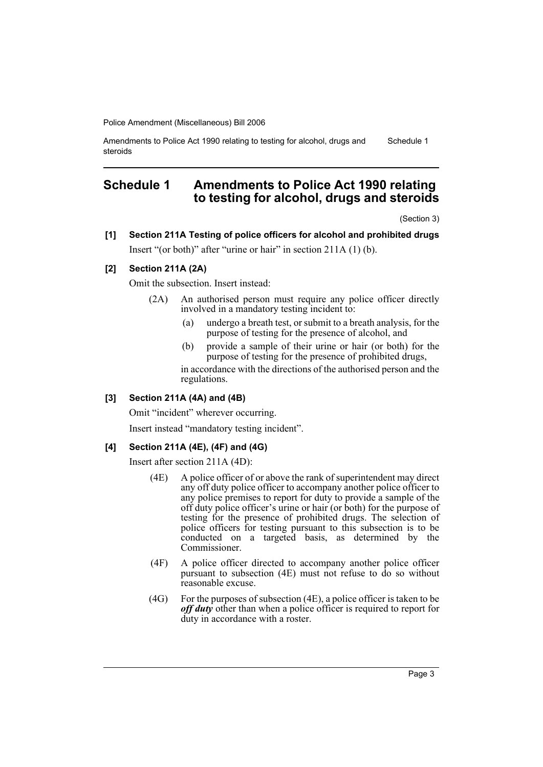Amendments to Police Act 1990 relating to testing for alcohol, drugs and steroids Schedule 1

# <span id="page-3-0"></span>**Schedule 1 Amendments to Police Act 1990 relating to testing for alcohol, drugs and steroids**

(Section 3)

# **[1] Section 211A Testing of police officers for alcohol and prohibited drugs** Insert "(or both)" after "urine or hair" in section 211A (1) (b).

#### **[2] Section 211A (2A)**

Omit the subsection. Insert instead:

- (2A) An authorised person must require any police officer directly involved in a mandatory testing incident to:
	- (a) undergo a breath test, or submit to a breath analysis, for the purpose of testing for the presence of alcohol, and
	- (b) provide a sample of their urine or hair (or both) for the purpose of testing for the presence of prohibited drugs,

in accordance with the directions of the authorised person and the regulations.

### **[3] Section 211A (4A) and (4B)**

Omit "incident" wherever occurring.

Insert instead "mandatory testing incident".

#### **[4] Section 211A (4E), (4F) and (4G)**

Insert after section 211A (4D):

- (4E) A police officer of or above the rank of superintendent may direct any off duty police officer to accompany another police officer to any police premises to report for duty to provide a sample of the off duty police officer's urine or hair (or both) for the purpose of testing for the presence of prohibited drugs. The selection of police officers for testing pursuant to this subsection is to be conducted on a targeted basis, as determined by the Commissioner.
- (4F) A police officer directed to accompany another police officer pursuant to subsection (4E) must not refuse to do so without reasonable excuse.
- (4G) For the purposes of subsection (4E), a police officer is taken to be *off duty* other than when a police officer is required to report for duty in accordance with a roster.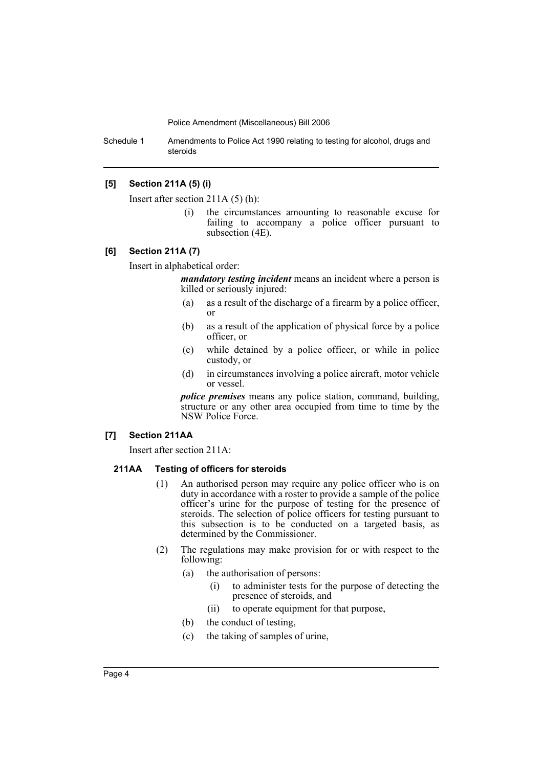Schedule 1 Amendments to Police Act 1990 relating to testing for alcohol, drugs and steroids

### **[5] Section 211A (5) (i)**

Insert after section 211A (5) (h):

(i) the circumstances amounting to reasonable excuse for failing to accompany a police officer pursuant to subsection (4E).

#### **[6] Section 211A (7)**

Insert in alphabetical order:

*mandatory testing incident* means an incident where a person is killed or seriously injured:

- (a) as a result of the discharge of a firearm by a police officer, or
- (b) as a result of the application of physical force by a police officer, or
- (c) while detained by a police officer, or while in police custody, or
- (d) in circumstances involving a police aircraft, motor vehicle or vessel.

*police premises* means any police station, command, building, structure or any other area occupied from time to time by the NSW Police Force.

#### **[7] Section 211AA**

Insert after section 211A:

#### **211AA Testing of officers for steroids**

- (1) An authorised person may require any police officer who is on duty in accordance with a roster to provide a sample of the police officer's urine for the purpose of testing for the presence of steroids. The selection of police officers for testing pursuant to this subsection is to be conducted on a targeted basis, as determined by the Commissioner.
- (2) The regulations may make provision for or with respect to the following:
	- (a) the authorisation of persons:
		- (i) to administer tests for the purpose of detecting the presence of steroids, and
		- (ii) to operate equipment for that purpose,
	- (b) the conduct of testing,
	- (c) the taking of samples of urine,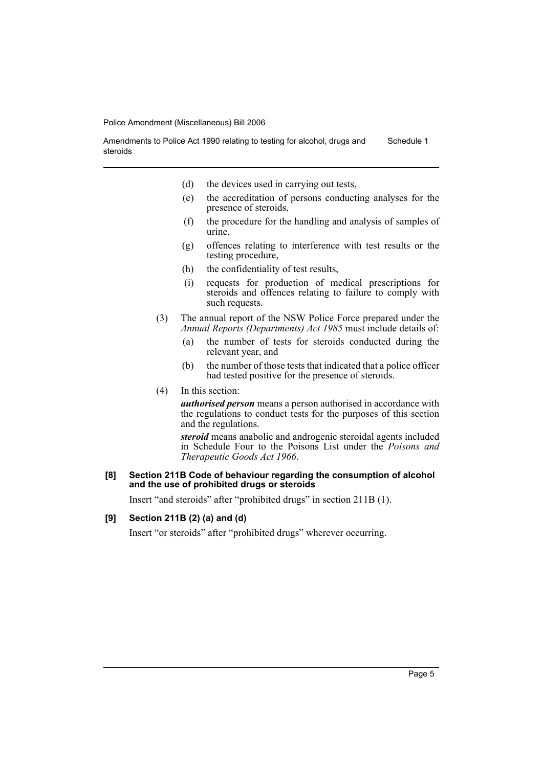Amendments to Police Act 1990 relating to testing for alcohol, drugs and steroids Schedule 1

- (d) the devices used in carrying out tests,
- (e) the accreditation of persons conducting analyses for the presence of steroids,
- (f) the procedure for the handling and analysis of samples of urine,
- (g) offences relating to interference with test results or the testing procedure,
- (h) the confidentiality of test results,
- (i) requests for production of medical prescriptions for steroids and offences relating to failure to comply with such requests.
- (3) The annual report of the NSW Police Force prepared under the *Annual Reports (Departments) Act 1985* must include details of:
	- (a) the number of tests for steroids conducted during the relevant year, and
	- (b) the number of those tests that indicated that a police officer had tested positive for the presence of steroids.
- (4) In this section:

*authorised person* means a person authorised in accordance with the regulations to conduct tests for the purposes of this section and the regulations.

*steroid* means anabolic and androgenic steroidal agents included in Schedule Four to the Poisons List under the *Poisons and Therapeutic Goods Act 1966*.

#### **[8] Section 211B Code of behaviour regarding the consumption of alcohol and the use of prohibited drugs or steroids**

Insert "and steroids" after "prohibited drugs" in section 211B (1).

#### **[9] Section 211B (2) (a) and (d)**

Insert "or steroids" after "prohibited drugs" wherever occurring.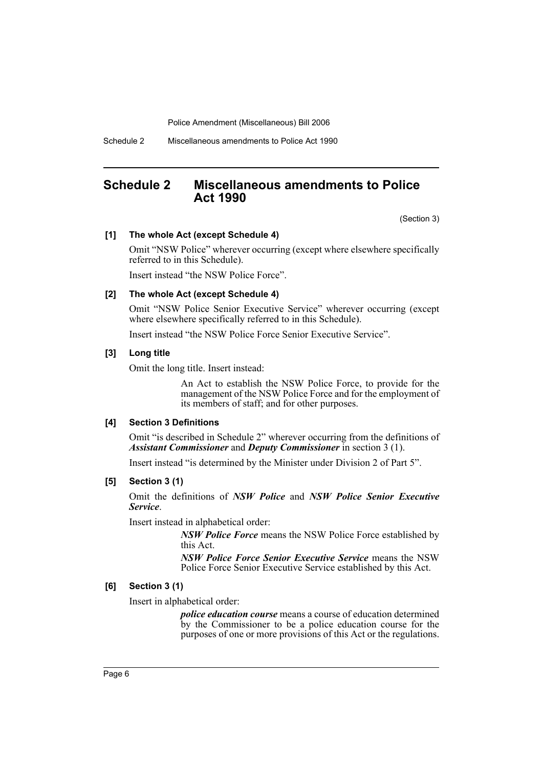Schedule 2 Miscellaneous amendments to Police Act 1990

# <span id="page-6-0"></span>**Schedule 2 Miscellaneous amendments to Police Act 1990**

(Section 3)

#### **[1] The whole Act (except Schedule 4)**

Omit "NSW Police" wherever occurring (except where elsewhere specifically referred to in this Schedule).

Insert instead "the NSW Police Force".

#### **[2] The whole Act (except Schedule 4)**

Omit "NSW Police Senior Executive Service" wherever occurring (except where elsewhere specifically referred to in this Schedule).

Insert instead "the NSW Police Force Senior Executive Service".

#### **[3] Long title**

Omit the long title. Insert instead:

An Act to establish the NSW Police Force, to provide for the management of the NSW Police Force and for the employment of its members of staff; and for other purposes.

#### **[4] Section 3 Definitions**

Omit "is described in Schedule 2" wherever occurring from the definitions of *Assistant Commissioner* and *Deputy Commissioner* in section 3 (1).

Insert instead "is determined by the Minister under Division 2 of Part 5".

#### **[5] Section 3 (1)**

Omit the definitions of *NSW Police* and *NSW Police Senior Executive Service*.

Insert instead in alphabetical order:

*NSW Police Force* means the NSW Police Force established by this Act.

*NSW Police Force Senior Executive Service* means the NSW Police Force Senior Executive Service established by this Act.

#### **[6] Section 3 (1)**

Insert in alphabetical order:

*police education course* means a course of education determined by the Commissioner to be a police education course for the purposes of one or more provisions of this Act or the regulations.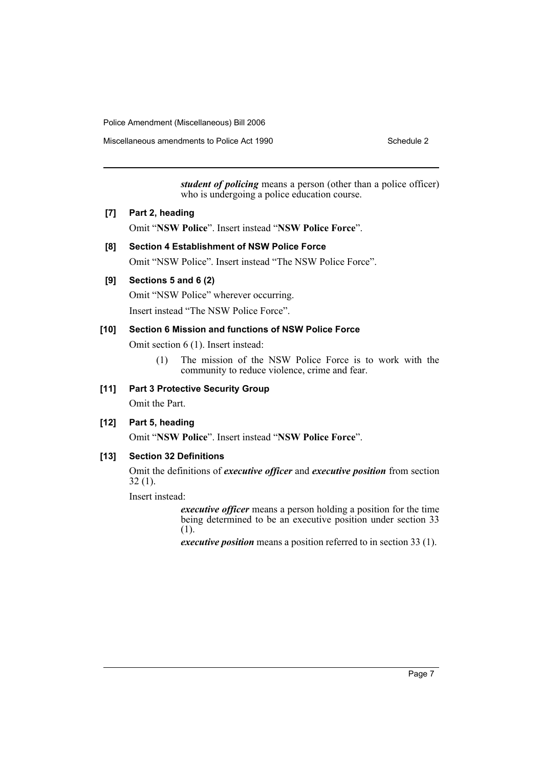Miscellaneous amendments to Police Act 1990

*student of policing* means a person (other than a police officer) who is undergoing a police education course.

#### **[7] Part 2, heading**

Omit "**NSW Police**". Insert instead "**NSW Police Force**".

#### **[8] Section 4 Establishment of NSW Police Force**

Omit "NSW Police". Insert instead "The NSW Police Force".

#### **[9] Sections 5 and 6 (2)**

Omit "NSW Police" wherever occurring.

Insert instead "The NSW Police Force".

#### **[10] Section 6 Mission and functions of NSW Police Force**

Omit section 6 (1). Insert instead:

(1) The mission of the NSW Police Force is to work with the community to reduce violence, crime and fear.

# **[11] Part 3 Protective Security Group**

Omit the Part.

# **[12] Part 5, heading**

Omit "**NSW Police**". Insert instead "**NSW Police Force**".

# **[13] Section 32 Definitions**

Omit the definitions of *executive officer* and *executive position* from section 32 (1).

Insert instead:

*executive officer* means a person holding a position for the time being determined to be an executive position under section 33 (1).

*executive position* means a position referred to in section 33 (1).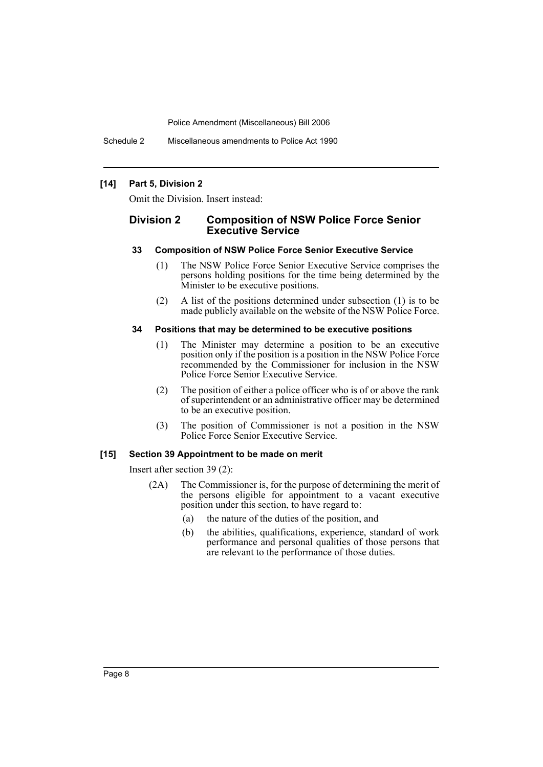Schedule 2 Miscellaneous amendments to Police Act 1990

#### **[14] Part 5, Division 2**

Omit the Division. Insert instead:

# **Division 2 Composition of NSW Police Force Senior Executive Service**

#### **33 Composition of NSW Police Force Senior Executive Service**

- (1) The NSW Police Force Senior Executive Service comprises the persons holding positions for the time being determined by the Minister to be executive positions.
- (2) A list of the positions determined under subsection (1) is to be made publicly available on the website of the NSW Police Force.

#### **34 Positions that may be determined to be executive positions**

- (1) The Minister may determine a position to be an executive position only if the position is a position in the NSW Police Force recommended by the Commissioner for inclusion in the NSW Police Force Senior Executive Service.
- (2) The position of either a police officer who is of or above the rank of superintendent or an administrative officer may be determined to be an executive position.
- (3) The position of Commissioner is not a position in the NSW Police Force Senior Executive Service.

#### **[15] Section 39 Appointment to be made on merit**

Insert after section 39 (2):

- (2A) The Commissioner is, for the purpose of determining the merit of the persons eligible for appointment to a vacant executive position under this section, to have regard to:
	- (a) the nature of the duties of the position, and
	- (b) the abilities, qualifications, experience, standard of work performance and personal qualities of those persons that are relevant to the performance of those duties.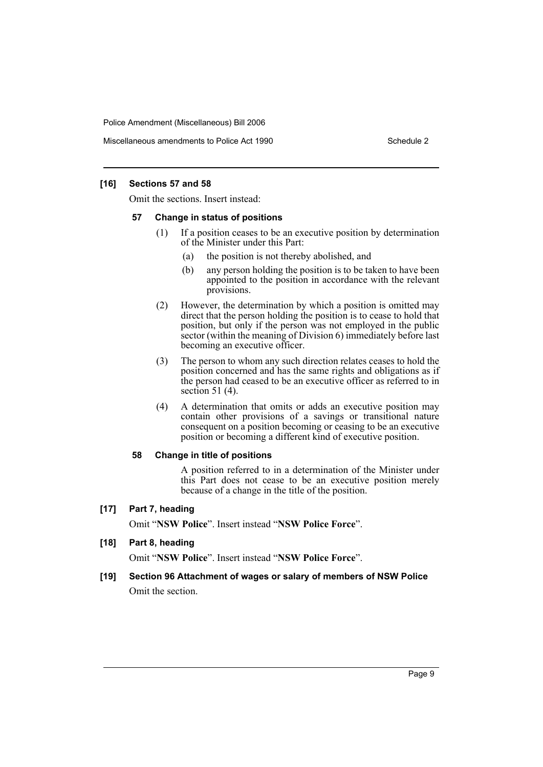Miscellaneous amendments to Police Act 1990

### **[16] Sections 57 and 58**

Omit the sections. Insert instead:

#### **57 Change in status of positions**

- (1) If a position ceases to be an executive position by determination of the Minister under this Part:
	- (a) the position is not thereby abolished, and
	- (b) any person holding the position is to be taken to have been appointed to the position in accordance with the relevant provisions.
- (2) However, the determination by which a position is omitted may direct that the person holding the position is to cease to hold that position, but only if the person was not employed in the public sector (within the meaning of Division 6) immediately before last becoming an executive officer.
- (3) The person to whom any such direction relates ceases to hold the position concerned and has the same rights and obligations as if the person had ceased to be an executive officer as referred to in section 51 (4).
- (4) A determination that omits or adds an executive position may contain other provisions of a savings or transitional nature consequent on a position becoming or ceasing to be an executive position or becoming a different kind of executive position.

#### **58 Change in title of positions**

A position referred to in a determination of the Minister under this Part does not cease to be an executive position merely because of a change in the title of the position.

#### **[17] Part 7, heading**

Omit "**NSW Police**". Insert instead "**NSW Police Force**".

#### **[18] Part 8, heading**

Omit "**NSW Police**". Insert instead "**NSW Police Force**".

# **[19] Section 96 Attachment of wages or salary of members of NSW Police** Omit the section.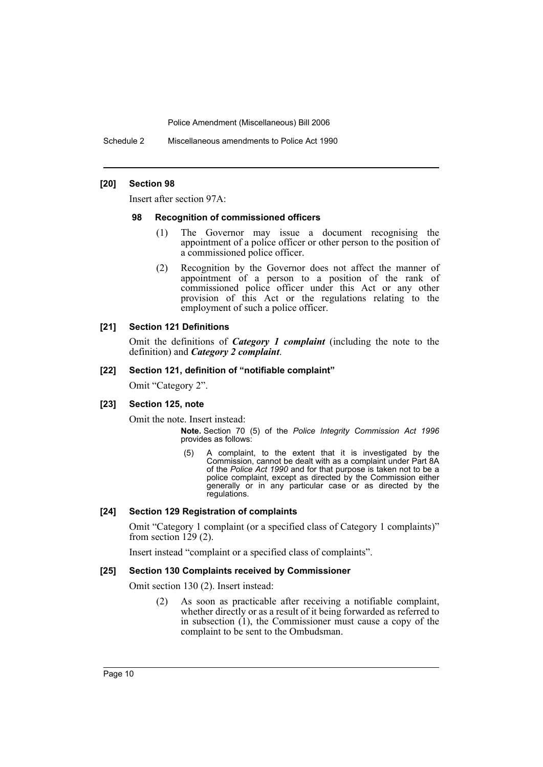Schedule 2 Miscellaneous amendments to Police Act 1990

#### **[20] Section 98**

Insert after section 97A:

#### **98 Recognition of commissioned officers**

- (1) The Governor may issue a document recognising the appointment of a police officer or other person to the position of a commissioned police officer.
- (2) Recognition by the Governor does not affect the manner of appointment of a person to a position of the rank of commissioned police officer under this Act or any other provision of this Act or the regulations relating to the employment of such a police officer.

#### **[21] Section 121 Definitions**

Omit the definitions of *Category 1 complaint* (including the note to the definition) and *Category 2 complaint*.

#### **[22] Section 121, definition of "notifiable complaint"**

Omit "Category 2".

#### **[23] Section 125, note**

Omit the note. Insert instead:

**Note.** Section 70 (5) of the *Police Integrity Commission Act 1996* provides as follows:

(5) A complaint, to the extent that it is investigated by the Commission, cannot be dealt with as a complaint under Part 8A of the *Police Act 1990* and for that purpose is taken not to be a police complaint, except as directed by the Commission either generally or in any particular case or as directed by the regulations.

#### **[24] Section 129 Registration of complaints**

Omit "Category 1 complaint (or a specified class of Category 1 complaints)" from section  $129(2)$ .

Insert instead "complaint or a specified class of complaints".

#### **[25] Section 130 Complaints received by Commissioner**

Omit section 130 (2). Insert instead:

(2) As soon as practicable after receiving a notifiable complaint, whether directly or as a result of it being forwarded as referred to in subsection (1), the Commissioner must cause a copy of the complaint to be sent to the Ombudsman.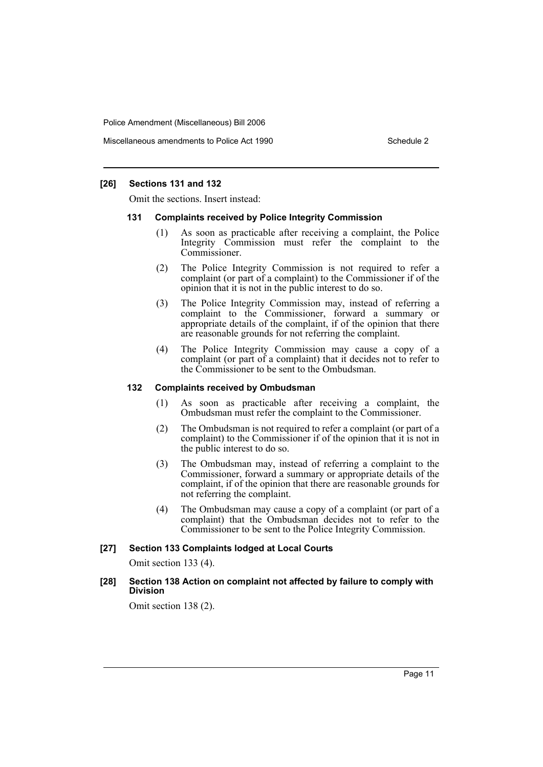Miscellaneous amendments to Police Act 1990

#### **[26] Sections 131 and 132**

Omit the sections. Insert instead:

#### **131 Complaints received by Police Integrity Commission**

- (1) As soon as practicable after receiving a complaint, the Police Integrity Commission must refer the complaint to the Commissioner.
- (2) The Police Integrity Commission is not required to refer a complaint (or part of a complaint) to the Commissioner if of the opinion that it is not in the public interest to do so.
- (3) The Police Integrity Commission may, instead of referring a complaint to the Commissioner, forward a summary or appropriate details of the complaint, if of the opinion that there are reasonable grounds for not referring the complaint.
- (4) The Police Integrity Commission may cause a copy of a complaint (or part of a complaint) that it decides not to refer to the Commissioner to be sent to the Ombudsman.

#### **132 Complaints received by Ombudsman**

- (1) As soon as practicable after receiving a complaint, the Ombudsman must refer the complaint to the Commissioner.
- (2) The Ombudsman is not required to refer a complaint (or part of a complaint) to the Commissioner if of the opinion that it is not in the public interest to do so.
- (3) The Ombudsman may, instead of referring a complaint to the Commissioner, forward a summary or appropriate details of the complaint, if of the opinion that there are reasonable grounds for not referring the complaint.
- (4) The Ombudsman may cause a copy of a complaint (or part of a complaint) that the Ombudsman decides not to refer to the Commissioner to be sent to the Police Integrity Commission.

#### **[27] Section 133 Complaints lodged at Local Courts**

Omit section 133 (4).

#### **[28] Section 138 Action on complaint not affected by failure to comply with Division**

Omit section 138 (2).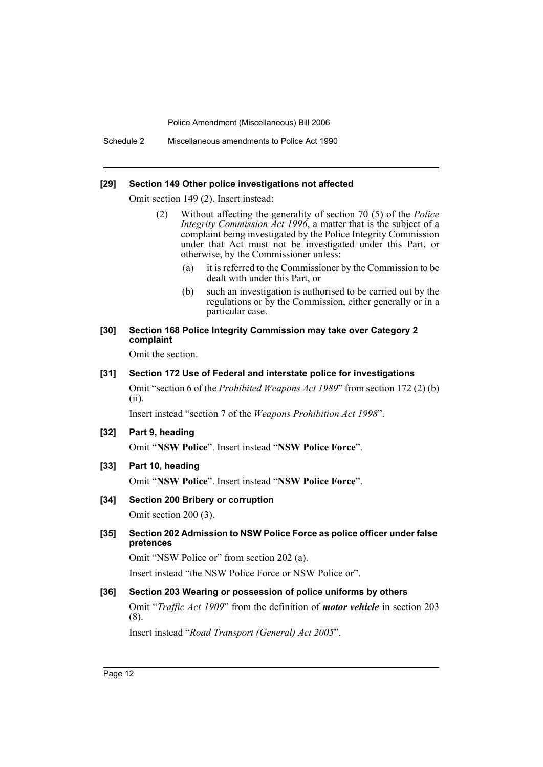Schedule 2 Miscellaneous amendments to Police Act 1990

#### **[29] Section 149 Other police investigations not affected**

Omit section 149 (2). Insert instead:

- (2) Without affecting the generality of section 70 (5) of the *Police Integrity Commission Act 1996*, a matter that is the subject of a complaint being investigated by the Police Integrity Commission under that Act must not be investigated under this Part, or otherwise, by the Commissioner unless:
	- (a) it is referred to the Commissioner by the Commission to be dealt with under this Part, or
	- (b) such an investigation is authorised to be carried out by the regulations or by the Commission, either generally or in a particular case.
- **[30] Section 168 Police Integrity Commission may take over Category 2 complaint**

Omit the section.

### **[31] Section 172 Use of Federal and interstate police for investigations**

Omit "section 6 of the *Prohibited Weapons Act 1989*" from section 172 (2) (b) (ii).

Insert instead "section 7 of the *Weapons Prohibition Act 1998*".

**[32] Part 9, heading**

Omit "**NSW Police**". Insert instead "**NSW Police Force**".

- **[33] Part 10, heading** Omit "**NSW Police**". Insert instead "**NSW Police Force**".
- **[34] Section 200 Bribery or corruption**

Omit section 200 (3).

**[35] Section 202 Admission to NSW Police Force as police officer under false pretences**

Omit "NSW Police or" from section 202 (a).

Insert instead "the NSW Police Force or NSW Police or".

# **[36] Section 203 Wearing or possession of police uniforms by others**

Omit "*Traffic Act 1909*" from the definition of *motor vehicle* in section 203 (8).

Insert instead "*Road Transport (General) Act 2005*".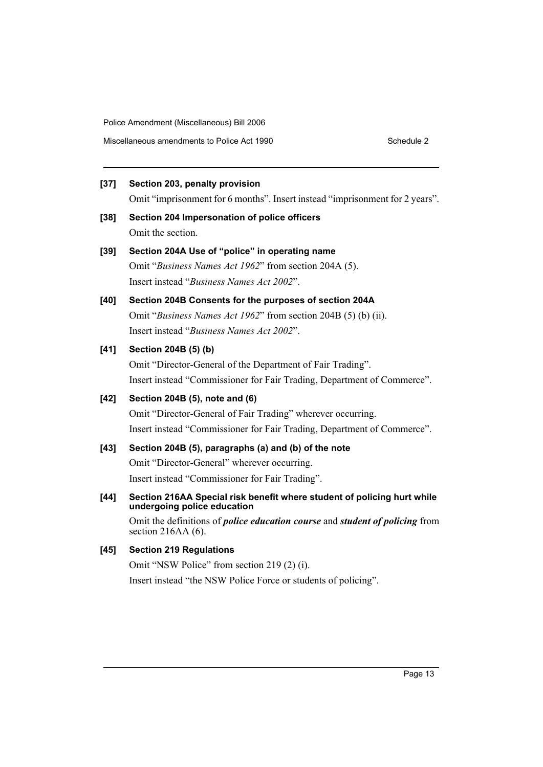### **[37] Section 203, penalty provision**

Omit "imprisonment for 6 months". Insert instead "imprisonment for 2 years".

**[38] Section 204 Impersonation of police officers** Omit the section.

# **[39] Section 204A Use of "police" in operating name**

Omit "*Business Names Act 1962*" from section 204A (5). Insert instead "*Business Names Act 2002*".

# **[40] Section 204B Consents for the purposes of section 204A**

Omit "*Business Names Act 1962*" from section 204B (5) (b) (ii). Insert instead "*Business Names Act 2002*".

# **[41] Section 204B (5) (b)**

Omit "Director-General of the Department of Fair Trading". Insert instead "Commissioner for Fair Trading, Department of Commerce".

# **[42] Section 204B (5), note and (6)**

Omit "Director-General of Fair Trading" wherever occurring. Insert instead "Commissioner for Fair Trading, Department of Commerce".

# **[43] Section 204B (5), paragraphs (a) and (b) of the note**

Omit "Director-General" wherever occurring. Insert instead "Commissioner for Fair Trading".

# **[44] Section 216AA Special risk benefit where student of policing hurt while undergoing police education**

Omit the definitions of *police education course* and *student of policing* from section 216AA (6).

# **[45] Section 219 Regulations**

Omit "NSW Police" from section 219 (2) (i).

Insert instead "the NSW Police Force or students of policing".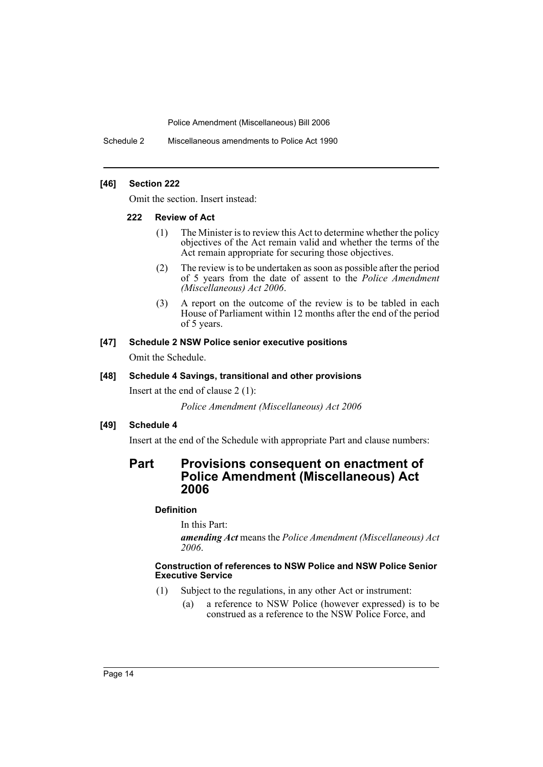Schedule 2 Miscellaneous amendments to Police Act 1990

#### **[46] Section 222**

Omit the section. Insert instead:

#### **222 Review of Act**

- (1) The Minister is to review this Act to determine whether the policy objectives of the Act remain valid and whether the terms of the Act remain appropriate for securing those objectives.
- (2) The review is to be undertaken as soon as possible after the period of 5 years from the date of assent to the *Police Amendment (Miscellaneous) Act 2006*.
- (3) A report on the outcome of the review is to be tabled in each House of Parliament within 12 months after the end of the period of 5 years.

#### **[47] Schedule 2 NSW Police senior executive positions**

Omit the Schedule.

#### **[48] Schedule 4 Savings, transitional and other provisions**

Insert at the end of clause 2 (1):

*Police Amendment (Miscellaneous) Act 2006*

# **[49] Schedule 4**

Insert at the end of the Schedule with appropriate Part and clause numbers:

# **Part Provisions consequent on enactment of Police Amendment (Miscellaneous) Act 2006**

# **Definition**

In this Part:

*amending Act* means the *Police Amendment (Miscellaneous) Act 2006*.

#### **Construction of references to NSW Police and NSW Police Senior Executive Service**

- (1) Subject to the regulations, in any other Act or instrument:
	- (a) a reference to NSW Police (however expressed) is to be construed as a reference to the NSW Police Force, and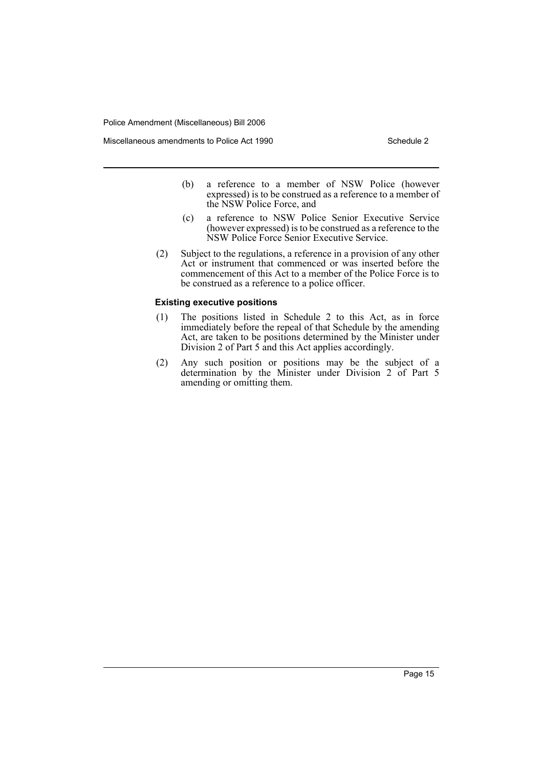Miscellaneous amendments to Police Act 1990 Schedule 2

- (b) a reference to a member of NSW Police (however expressed) is to be construed as a reference to a member of the NSW Police Force, and
- (c) a reference to NSW Police Senior Executive Service (however expressed) is to be construed as a reference to the NSW Police Force Senior Executive Service.
- (2) Subject to the regulations, a reference in a provision of any other Act or instrument that commenced or was inserted before the commencement of this Act to a member of the Police Force is to be construed as a reference to a police officer.

#### **Existing executive positions**

- (1) The positions listed in Schedule 2 to this Act, as in force immediately before the repeal of that Schedule by the amending Act, are taken to be positions determined by the Minister under Division 2 of Part 5 and this Act applies accordingly.
- (2) Any such position or positions may be the subject of a determination by the Minister under Division 2 of Part 5 amending or omitting them.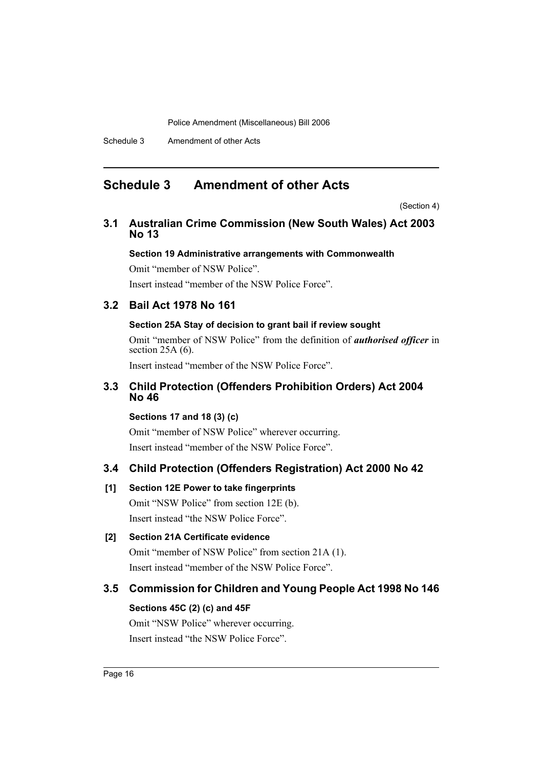Schedule 3 Amendment of other Acts

# <span id="page-16-0"></span>**Schedule 3 Amendment of other Acts**

(Section 4)

# **3.1 Australian Crime Commission (New South Wales) Act 2003 No 13**

# **Section 19 Administrative arrangements with Commonwealth**

Omit "member of NSW Police".

Insert instead "member of the NSW Police Force".

# **3.2 Bail Act 1978 No 161**

# **Section 25A Stay of decision to grant bail if review sought**

Omit "member of NSW Police" from the definition of *authorised officer* in section  $25A(6)$ .

Insert instead "member of the NSW Police Force".

# **3.3 Child Protection (Offenders Prohibition Orders) Act 2004 No 46**

# **Sections 17 and 18 (3) (c)**

Omit "member of NSW Police" wherever occurring. Insert instead "member of the NSW Police Force".

# **3.4 Child Protection (Offenders Registration) Act 2000 No 42**

# **[1] Section 12E Power to take fingerprints**

Omit "NSW Police" from section 12E (b). Insert instead "the NSW Police Force".

# **[2] Section 21A Certificate evidence**

Omit "member of NSW Police" from section 21A (1). Insert instead "member of the NSW Police Force".

# **3.5 Commission for Children and Young People Act 1998 No 146**

# **Sections 45C (2) (c) and 45F**

Omit "NSW Police" wherever occurring. Insert instead "the NSW Police Force".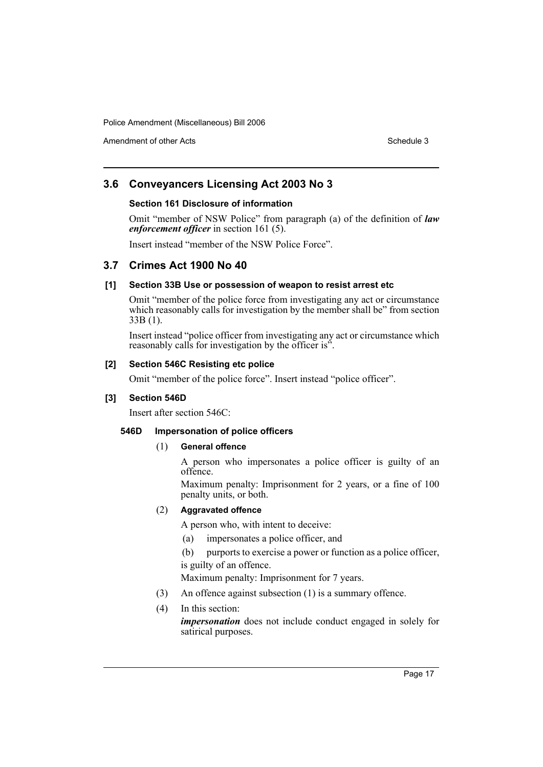Amendment of other Acts **Schedule 3** and the 3 set of the 3 set of the 3 set of the 3 set of the 3 set of the 3 set of the 3 set of the 3 set of the 3 set of the 3 set of the 3 set of the 3 set of the 3 set of the 3 set of

# **3.6 Conveyancers Licensing Act 2003 No 3**

#### **Section 161 Disclosure of information**

Omit "member of NSW Police" from paragraph (a) of the definition of *law enforcement officer* in section 161 (5).

Insert instead "member of the NSW Police Force".

# **3.7 Crimes Act 1900 No 40**

# **[1] Section 33B Use or possession of weapon to resist arrest etc**

Omit "member of the police force from investigating any act or circumstance which reasonably calls for investigation by the member shall be" from section 33B (1).

Insert instead "police officer from investigating any act or circumstance which reasonably calls for investigation by the officer is".

# **[2] Section 546C Resisting etc police**

Omit "member of the police force". Insert instead "police officer".

# **[3] Section 546D**

Insert after section 546C:

#### **546D Impersonation of police officers**

#### (1) **General offence**

A person who impersonates a police officer is guilty of an offence.

Maximum penalty: Imprisonment for 2 years, or a fine of 100 penalty units, or both.

# (2) **Aggravated offence**

A person who, with intent to deceive:

- (a) impersonates a police officer, and
- (b) purports to exercise a power or function as a police officer, is guilty of an offence.

Maximum penalty: Imprisonment for 7 years.

- (3) An offence against subsection (1) is a summary offence.
- (4) In this section:

*impersonation* does not include conduct engaged in solely for satirical purposes.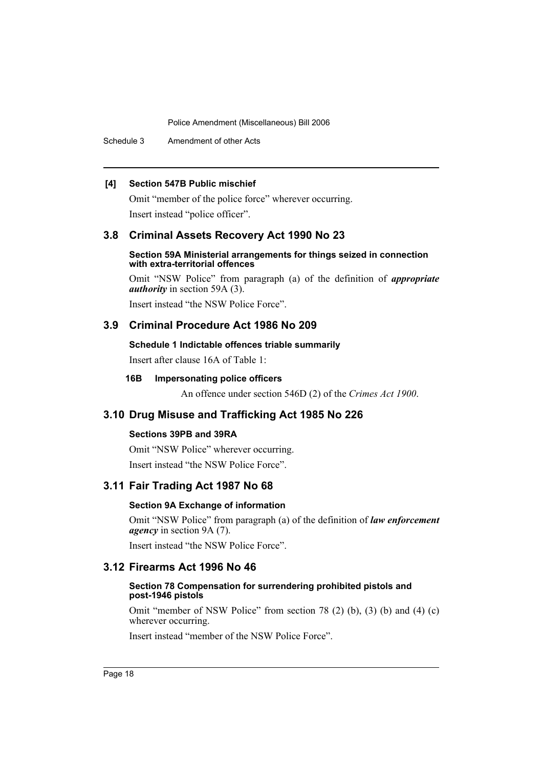Schedule 3 Amendment of other Acts

# **[4] Section 547B Public mischief**

Omit "member of the police force" wherever occurring. Insert instead "police officer".

# **3.8 Criminal Assets Recovery Act 1990 No 23**

#### **Section 59A Ministerial arrangements for things seized in connection with extra-territorial offences**

Omit "NSW Police" from paragraph (a) of the definition of *appropriate authority* in section 59A (3).

Insert instead "the NSW Police Force".

# **3.9 Criminal Procedure Act 1986 No 209**

#### **Schedule 1 Indictable offences triable summarily**

Insert after clause 16A of Table 1:

#### **16B Impersonating police officers**

An offence under section 546D (2) of the *Crimes Act 1900*.

# **3.10 Drug Misuse and Trafficking Act 1985 No 226**

### **Sections 39PB and 39RA**

Omit "NSW Police" wherever occurring. Insert instead "the NSW Police Force".

# **3.11 Fair Trading Act 1987 No 68**

# **Section 9A Exchange of information**

Omit "NSW Police" from paragraph (a) of the definition of *law enforcement agency* in section 9A (7).

Insert instead "the NSW Police Force".

# **3.12 Firearms Act 1996 No 46**

#### **Section 78 Compensation for surrendering prohibited pistols and post-1946 pistols**

Omit "member of NSW Police" from section 78 (2) (b), (3) (b) and (4) (c) wherever occurring.

Insert instead "member of the NSW Police Force".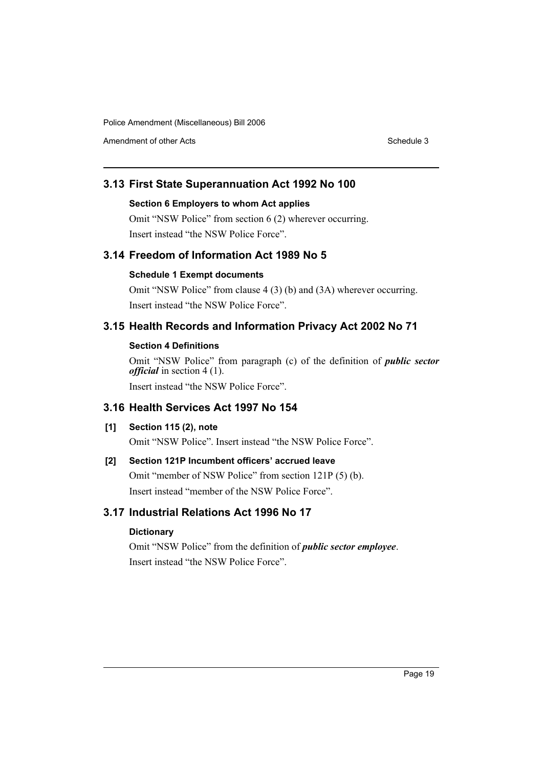Amendment of other Acts **Schedule 3** and the 3 sense of the 3 sense of the 3 sense of the 3 sense of the 3 sense of the 3 sense of the 3 sense of the 3 sense of the 3 sense of the 3 sense of the 3 sense of the 3 sense of t

# **3.13 First State Superannuation Act 1992 No 100**

#### **Section 6 Employers to whom Act applies**

Omit "NSW Police" from section 6 (2) wherever occurring. Insert instead "the NSW Police Force".

# **3.14 Freedom of Information Act 1989 No 5**

# **Schedule 1 Exempt documents**

Omit "NSW Police" from clause 4 (3) (b) and (3A) wherever occurring. Insert instead "the NSW Police Force".

# **3.15 Health Records and Information Privacy Act 2002 No 71**

# **Section 4 Definitions**

Omit "NSW Police" from paragraph (c) of the definition of *public sector official* in section 4 (1).

Insert instead "the NSW Police Force".

# **3.16 Health Services Act 1997 No 154**

# **[1] Section 115 (2), note**

Omit "NSW Police". Insert instead "the NSW Police Force".

# **[2] Section 121P Incumbent officers' accrued leave**

Omit "member of NSW Police" from section 121P (5) (b). Insert instead "member of the NSW Police Force".

# **3.17 Industrial Relations Act 1996 No 17**

# **Dictionary**

Omit "NSW Police" from the definition of *public sector employee*. Insert instead "the NSW Police Force".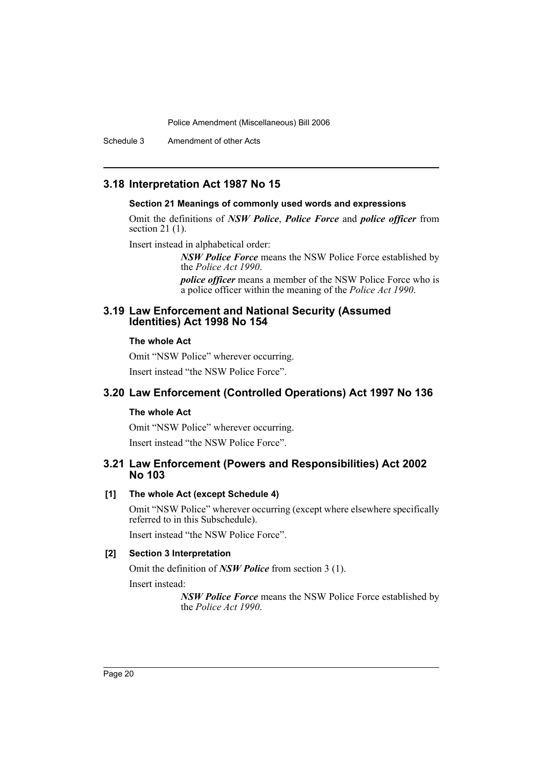Schedule 3 Amendment of other Acts

# **3.18 Interpretation Act 1987 No 15**

#### **Section 21 Meanings of commonly used words and expressions**

Omit the definitions of *NSW Police*, *Police Force* and *police officer* from section 21 (1).

Insert instead in alphabetical order:

*NSW Police Force* means the NSW Police Force established by the *Police Act 1990*.

*police officer* means a member of the NSW Police Force who is a police officer within the meaning of the *Police Act 1990*.

# **3.19 Law Enforcement and National Security (Assumed Identities) Act 1998 No 154**

#### **The whole Act**

Omit "NSW Police" wherever occurring. Insert instead "the NSW Police Force".

# **3.20 Law Enforcement (Controlled Operations) Act 1997 No 136**

#### **The whole Act**

Omit "NSW Police" wherever occurring. Insert instead "the NSW Police Force".

# **3.21 Law Enforcement (Powers and Responsibilities) Act 2002 No 103**

# **[1] The whole Act (except Schedule 4)**

Omit "NSW Police" wherever occurring (except where elsewhere specifically referred to in this Subschedule).

Insert instead "the NSW Police Force".

#### **[2] Section 3 Interpretation**

Omit the definition of *NSW Police* from section 3 (1).

Insert instead:

*NSW Police Force* means the NSW Police Force established by the *Police Act 1990*.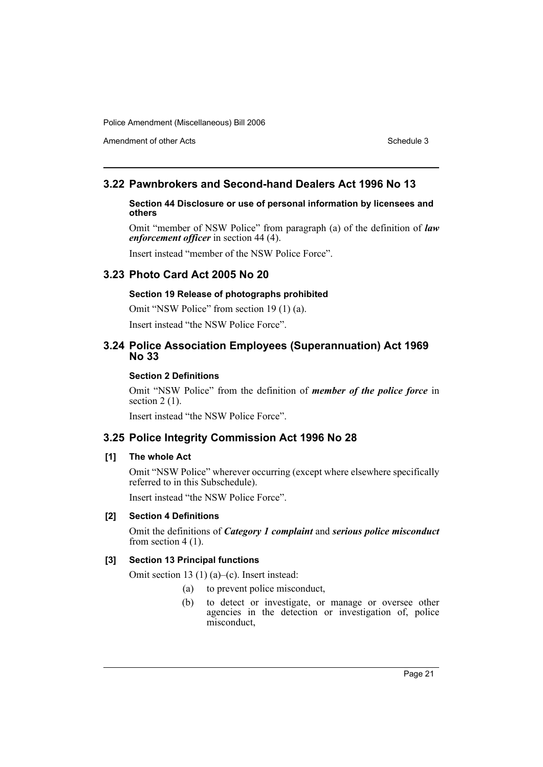Amendment of other Acts **Schedule 3** and the 3 sense of the 3 sense of the 3 sense of the 3 sense of the 3 sense of the 3 sense of the 3 sense of the 3 sense of the 3 sense of the 3 sense of the 3 sense of the 3 sense of t

# **3.22 Pawnbrokers and Second-hand Dealers Act 1996 No 13**

#### **Section 44 Disclosure or use of personal information by licensees and others**

Omit "member of NSW Police" from paragraph (a) of the definition of *law enforcement officer* in section 44 (4).

Insert instead "member of the NSW Police Force".

# **3.23 Photo Card Act 2005 No 20**

# **Section 19 Release of photographs prohibited**

Omit "NSW Police" from section 19 (1) (a).

Insert instead "the NSW Police Force".

# **3.24 Police Association Employees (Superannuation) Act 1969 No 33**

#### **Section 2 Definitions**

Omit "NSW Police" from the definition of *member of the police force* in section  $2(1)$ .

Insert instead "the NSW Police Force".

# **3.25 Police Integrity Commission Act 1996 No 28**

#### **[1] The whole Act**

Omit "NSW Police" wherever occurring (except where elsewhere specifically referred to in this Subschedule).

Insert instead "the NSW Police Force".

#### **[2] Section 4 Definitions**

Omit the definitions of *Category 1 complaint* and *serious police misconduct* from section 4 (1).

# **[3] Section 13 Principal functions**

Omit section 13 (1) (a)–(c). Insert instead:

- (a) to prevent police misconduct,
- (b) to detect or investigate, or manage or oversee other agencies in the detection or investigation of, police misconduct,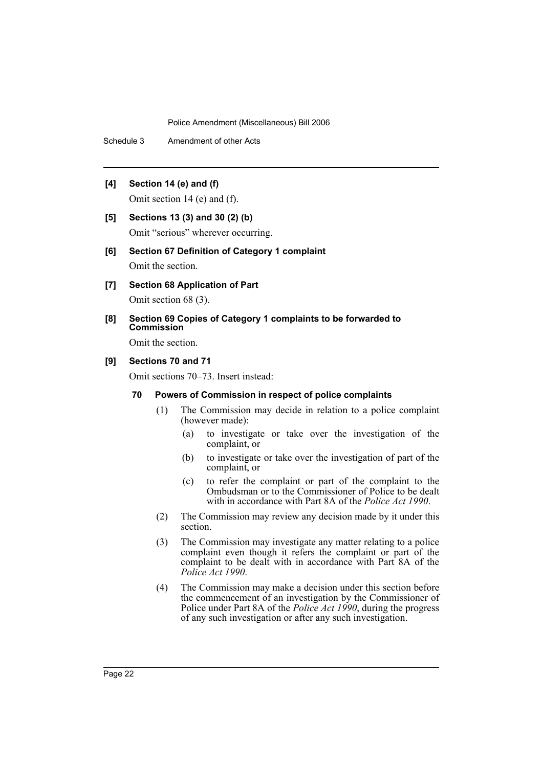Schedule 3 Amendment of other Acts

# **[4] Section 14 (e) and (f)**

Omit section 14 (e) and (f).

#### **[5] Sections 13 (3) and 30 (2) (b)**

Omit "serious" wherever occurring.

#### **[6] Section 67 Definition of Category 1 complaint**

Omit the section.

- **[7] Section 68 Application of Part** Omit section 68 (3).
- **[8] Section 69 Copies of Category 1 complaints to be forwarded to Commission**

Omit the section.

#### **[9] Sections 70 and 71**

Omit sections 70–73. Insert instead:

# **70 Powers of Commission in respect of police complaints**

- (1) The Commission may decide in relation to a police complaint (however made):
	- (a) to investigate or take over the investigation of the complaint, or
	- (b) to investigate or take over the investigation of part of the complaint, or
	- (c) to refer the complaint or part of the complaint to the Ombudsman or to the Commissioner of Police to be dealt with in accordance with Part 8A of the *Police Act 1990*.
- (2) The Commission may review any decision made by it under this section.
- (3) The Commission may investigate any matter relating to a police complaint even though it refers the complaint or part of the complaint to be dealt with in accordance with Part 8A of the *Police Act 1990*.
- (4) The Commission may make a decision under this section before the commencement of an investigation by the Commissioner of Police under Part 8A of the *Police Act 1990*, during the progress of any such investigation or after any such investigation.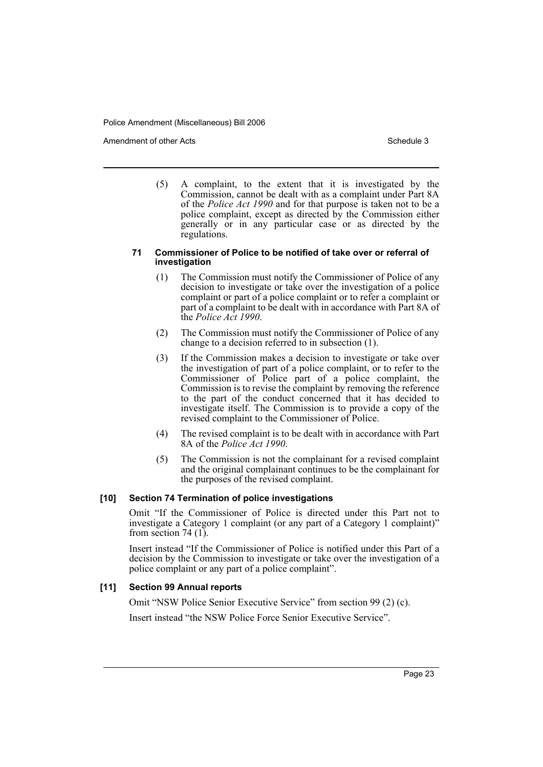Amendment of other Acts **Schedule 3** and the 3 schedule 3

(5) A complaint, to the extent that it is investigated by the Commission, cannot be dealt with as a complaint under Part 8A of the *Police Act 1990* and for that purpose is taken not to be a police complaint, except as directed by the Commission either generally or in any particular case or as directed by the regulations.

#### **71 Commissioner of Police to be notified of take over or referral of investigation**

- (1) The Commission must notify the Commissioner of Police of any decision to investigate or take over the investigation of a police complaint or part of a police complaint or to refer a complaint or part of a complaint to be dealt with in accordance with Part 8A of the *Police Act 1990*.
- (2) The Commission must notify the Commissioner of Police of any change to a decision referred to in subsection (1).
- (3) If the Commission makes a decision to investigate or take over the investigation of part of a police complaint, or to refer to the Commissioner of Police part of a police complaint, the Commission is to revise the complaint by removing the reference to the part of the conduct concerned that it has decided to investigate itself. The Commission is to provide a copy of the revised complaint to the Commissioner of Police.
- (4) The revised complaint is to be dealt with in accordance with Part 8A of the *Police Act 1990*.
- (5) The Commission is not the complainant for a revised complaint and the original complainant continues to be the complainant for the purposes of the revised complaint.

# **[10] Section 74 Termination of police investigations**

Omit "If the Commissioner of Police is directed under this Part not to investigate a Category 1 complaint (or any part of a Category 1 complaint)" from section 74 $(1)$ .

Insert instead "If the Commissioner of Police is notified under this Part of a decision by the Commission to investigate or take over the investigation of a police complaint or any part of a police complaint".

#### **[11] Section 99 Annual reports**

Omit "NSW Police Senior Executive Service" from section 99 (2) (c).

Insert instead "the NSW Police Force Senior Executive Service".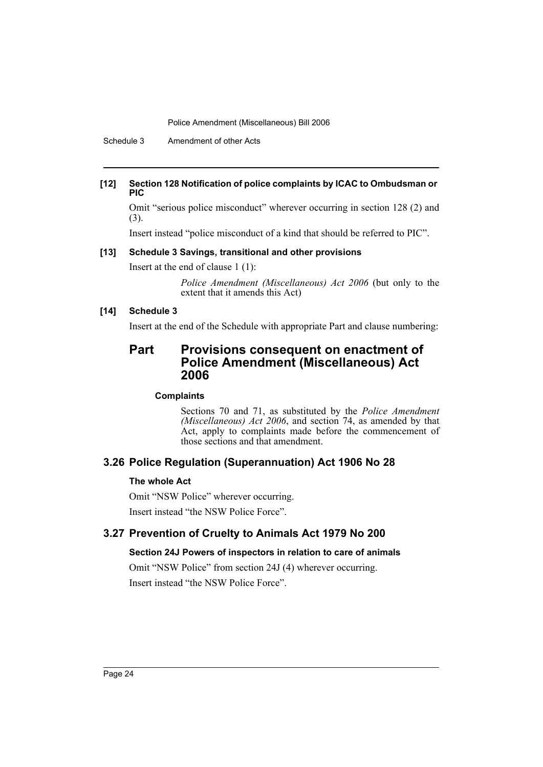Schedule 3 Amendment of other Acts

#### **[12] Section 128 Notification of police complaints by ICAC to Ombudsman or PIC**

Omit "serious police misconduct" wherever occurring in section 128 (2) and (3).

Insert instead "police misconduct of a kind that should be referred to PIC".

# **[13] Schedule 3 Savings, transitional and other provisions**

Insert at the end of clause 1 (1):

*Police Amendment (Miscellaneous) Act 2006* (but only to the extent that it amends this Act)

#### **[14] Schedule 3**

Insert at the end of the Schedule with appropriate Part and clause numbering:

# **Part Provisions consequent on enactment of Police Amendment (Miscellaneous) Act 2006**

### **Complaints**

Sections 70 and 71, as substituted by the *Police Amendment (Miscellaneous) Act 2006*, and section 74, as amended by that Act, apply to complaints made before the commencement of those sections and that amendment.

# **3.26 Police Regulation (Superannuation) Act 1906 No 28**

# **The whole Act**

Omit "NSW Police" wherever occurring. Insert instead "the NSW Police Force".

# **3.27 Prevention of Cruelty to Animals Act 1979 No 200**

# **Section 24J Powers of inspectors in relation to care of animals**

Omit "NSW Police" from section 24J (4) wherever occurring. Insert instead "the NSW Police Force".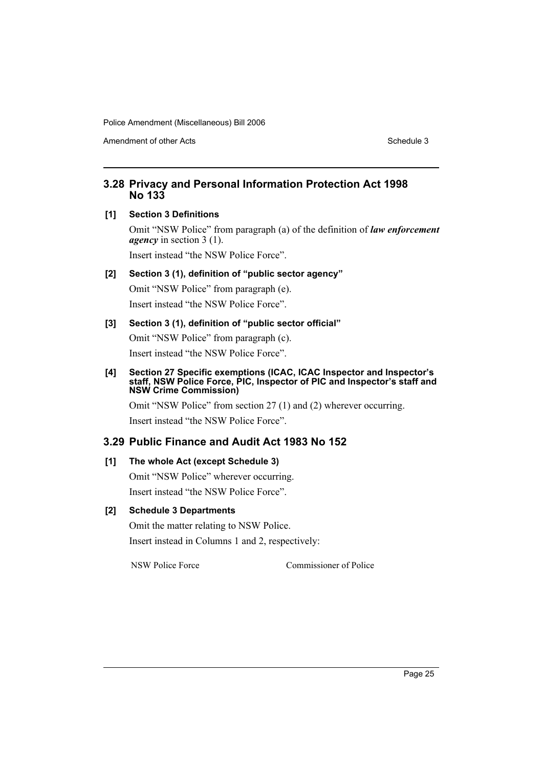Amendment of other Acts **Schedule 3** and the 3 sense of the 3 sense of the 3 sense of the 3 sense of the 3 sense of the 3 sense of the 3 sense of the 3 sense of the 3 sense of the 3 sense of the 3 sense of the 3 sense of t

# **3.28 Privacy and Personal Information Protection Act 1998 No 133**

# **[1] Section 3 Definitions**

Omit "NSW Police" from paragraph (a) of the definition of *law enforcement agency* in section 3 (1).

Insert instead "the NSW Police Force".

# **[2] Section 3 (1), definition of "public sector agency"** Omit "NSW Police" from paragraph (e).

Insert instead "the NSW Police Force".

# **[3] Section 3 (1), definition of "public sector official"**

Omit "NSW Police" from paragraph (c).

Insert instead "the NSW Police Force".

#### **[4] Section 27 Specific exemptions (ICAC, ICAC Inspector and Inspector's staff, NSW Police Force, PIC, Inspector of PIC and Inspector's staff and NSW Crime Commission)**

Omit "NSW Police" from section 27 (1) and (2) wherever occurring. Insert instead "the NSW Police Force".

# **3.29 Public Finance and Audit Act 1983 No 152**

# **[1] The whole Act (except Schedule 3)**

Omit "NSW Police" wherever occurring. Insert instead "the NSW Police Force".

# **[2] Schedule 3 Departments**

Omit the matter relating to NSW Police. Insert instead in Columns 1 and 2, respectively:

NSW Police Force Commissioner of Police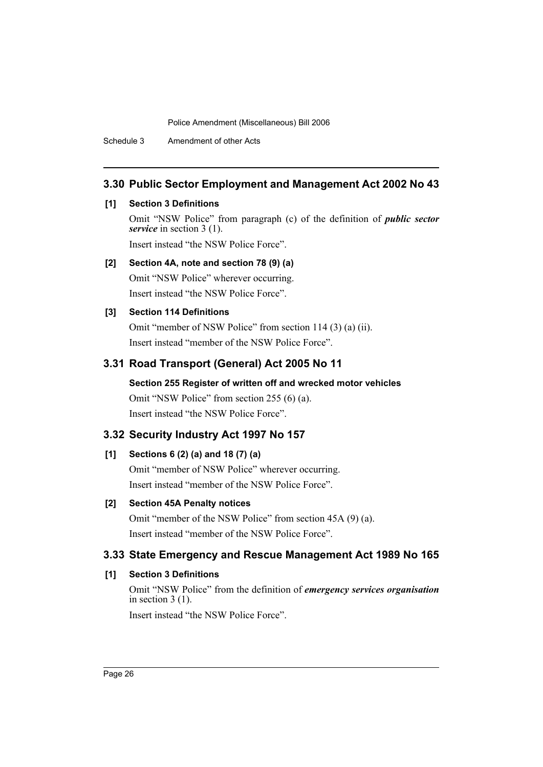Schedule 3 Amendment of other Acts

# **3.30 Public Sector Employment and Management Act 2002 No 43**

# **[1] Section 3 Definitions**

Omit "NSW Police" from paragraph (c) of the definition of *public sector service* in section 3 (1).

Insert instead "the NSW Police Force".

# **[2] Section 4A, note and section 78 (9) (a)**

Omit "NSW Police" wherever occurring. Insert instead "the NSW Police Force".

# **[3] Section 114 Definitions**

Omit "member of NSW Police" from section 114 (3) (a) (ii). Insert instead "member of the NSW Police Force".

# **3.31 Road Transport (General) Act 2005 No 11**

**Section 255 Register of written off and wrecked motor vehicles** Omit "NSW Police" from section 255 (6) (a). Insert instead "the NSW Police Force".

# **3.32 Security Industry Act 1997 No 157**

# **[1] Sections 6 (2) (a) and 18 (7) (a)**

Omit "member of NSW Police" wherever occurring. Insert instead "member of the NSW Police Force".

# **[2] Section 45A Penalty notices**

Omit "member of the NSW Police" from section 45A (9) (a). Insert instead "member of the NSW Police Force".

# **3.33 State Emergency and Rescue Management Act 1989 No 165**

# **[1] Section 3 Definitions**

Omit "NSW Police" from the definition of *emergency services organisation* in section 3 (1).

Insert instead "the NSW Police Force".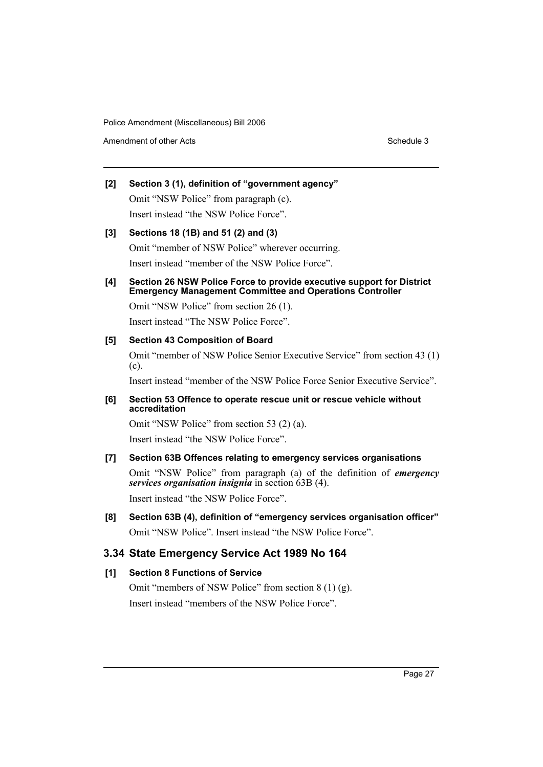Amendment of other Acts **Schedule 3** and the 3 set of the 3 set of the 3 set of the 3 set of the 3 set of the 3 set of the 3 set of the 3 set of the 3 set of the 3 set of the 3 set of the 3 set of the 3 set of the 3 set of

# **[2] Section 3 (1), definition of "government agency"** Omit "NSW Police" from paragraph (c).

Insert instead "the NSW Police Force".

# **[3] Sections 18 (1B) and 51 (2) and (3)** Omit "member of NSW Police" wherever occurring. Insert instead "member of the NSW Police Force".

# **[4] Section 26 NSW Police Force to provide executive support for District Emergency Management Committee and Operations Controller**

Omit "NSW Police" from section 26 (1). Insert instead "The NSW Police Force".

# **[5] Section 43 Composition of Board**

Omit "member of NSW Police Senior Executive Service" from section 43 (1) (c).

Insert instead "member of the NSW Police Force Senior Executive Service".

# **[6] Section 53 Offence to operate rescue unit or rescue vehicle without accreditation**

Omit "NSW Police" from section 53 (2) (a). Insert instead "the NSW Police Force".

# **[7] Section 63B Offences relating to emergency services organisations**

Omit "NSW Police" from paragraph (a) of the definition of *emergency services organisation insignia* in section 63B (4).

Insert instead "the NSW Police Force".

**[8] Section 63B (4), definition of "emergency services organisation officer"** Omit "NSW Police". Insert instead "the NSW Police Force".

# **3.34 State Emergency Service Act 1989 No 164**

# **[1] Section 8 Functions of Service**

Omit "members of NSW Police" from section 8 (1) (g). Insert instead "members of the NSW Police Force".